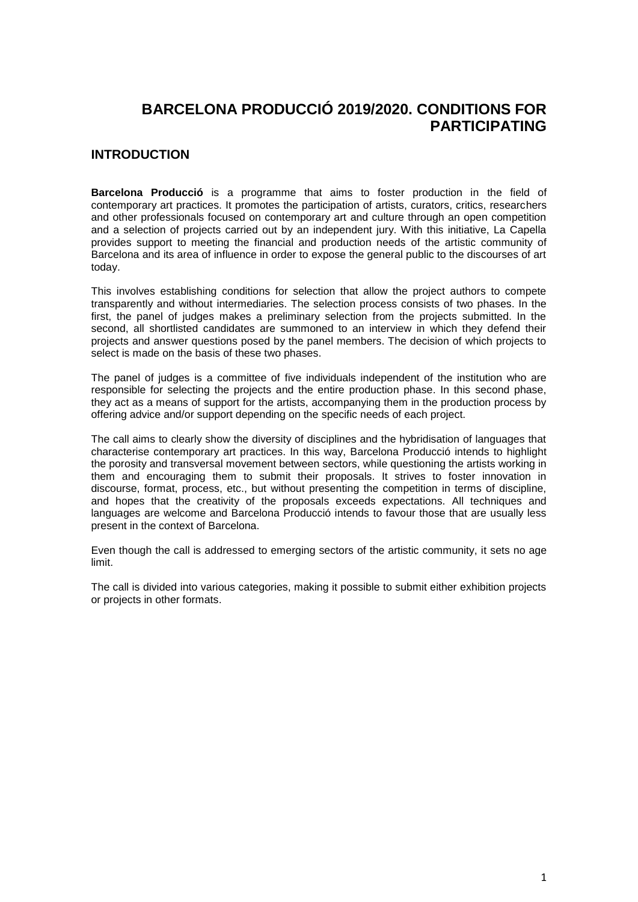# **BARCELONA PRODUCCIÓ 2019/2020. CONDITIONS FOR PARTICIPATING**

## **INTRODUCTION**

**Barcelona Producció** is a programme that aims to foster production in the field of contemporary art practices. It promotes the participation of artists, curators, critics, researchers and other professionals focused on contemporary art and culture through an open competition and a selection of projects carried out by an independent jury. With this initiative, La Capella provides support to meeting the financial and production needs of the artistic community of Barcelona and its area of influence in order to expose the general public to the discourses of art today.

This involves establishing conditions for selection that allow the project authors to compete transparently and without intermediaries. The selection process consists of two phases. In the first, the panel of judges makes a preliminary selection from the projects submitted. In the second, all shortlisted candidates are summoned to an interview in which they defend their projects and answer questions posed by the panel members. The decision of which projects to select is made on the basis of these two phases.

The panel of judges is a committee of five individuals independent of the institution who are responsible for selecting the projects and the entire production phase. In this second phase, they act as a means of support for the artists, accompanying them in the production process by offering advice and/or support depending on the specific needs of each project.

The call aims to clearly show the diversity of disciplines and the hybridisation of languages that characterise contemporary art practices. In this way, Barcelona Producció intends to highlight the porosity and transversal movement between sectors, while questioning the artists working in them and encouraging them to submit their proposals. It strives to foster innovation in discourse, format, process, etc., but without presenting the competition in terms of discipline, and hopes that the creativity of the proposals exceeds expectations. All techniques and languages are welcome and Barcelona Producció intends to favour those that are usually less present in the context of Barcelona.

Even though the call is addressed to emerging sectors of the artistic community, it sets no age limit.

The call is divided into various categories, making it possible to submit either exhibition projects or projects in other formats.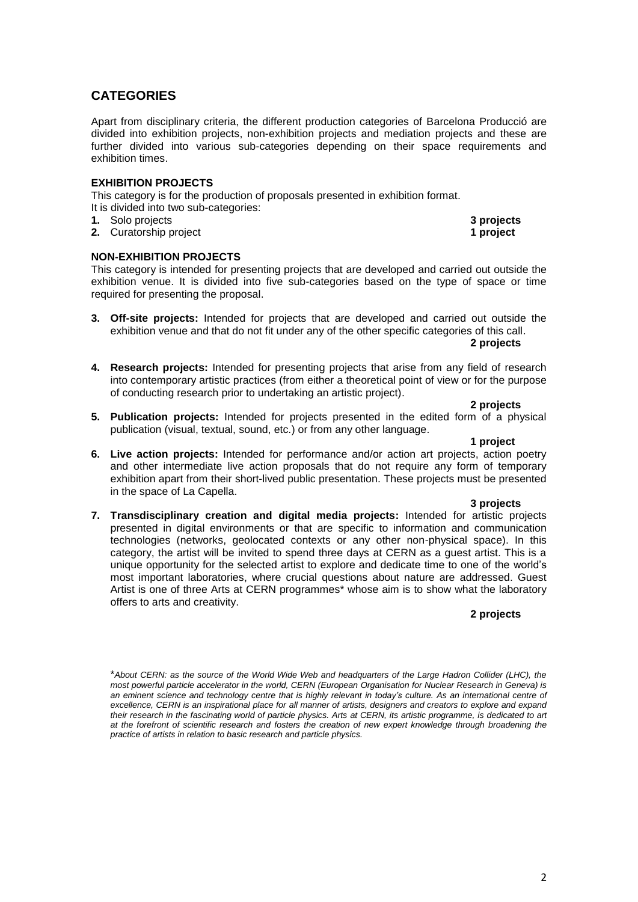## **CATEGORIES**

Apart from disciplinary criteria, the different production categories of Barcelona Producció are divided into exhibition projects, non-exhibition projects and mediation projects and these are further divided into various sub-categories depending on their space requirements and exhibition times.

### **EXHIBITION PROJECTS**

This category is for the production of proposals presented in exhibition format. It is divided into two sub-categories:

- 
- **1.** Solo projects **3 projects 2.** Curatorship project **1 project**

### **NON-EXHIBITION PROJECTS**

This category is intended for presenting projects that are developed and carried out outside the exhibition venue. It is divided into five sub-categories based on the type of space or time required for presenting the proposal.

**3. Off-site projects:** Intended for projects that are developed and carried out outside the exhibition venue and that do not fit under any of the other specific categories of this call.

**2 projects**

**4. Research projects:** Intended for presenting projects that arise from any field of research into contemporary artistic practices (from either a theoretical point of view or for the purpose of conducting research prior to undertaking an artistic project).

**2 projects**

**5. Publication projects:** Intended for projects presented in the edited form of a physical publication (visual, textual, sound, etc.) or from any other language.

**1 project**

**6. Live action projects:** Intended for performance and/or action art projects, action poetry and other intermediate live action proposals that do not require any form of temporary exhibition apart from their short-lived public presentation. These projects must be presented in the space of La Capella.

#### **3 projects**

**7. Transdisciplinary creation and digital media projects:** Intended for artistic projects presented in digital environments or that are specific to information and communication technologies (networks, geolocated contexts or any other non-physical space). In this category, the artist will be invited to spend three days at CERN as a guest artist. This is a unique opportunity for the selected artist to explore and dedicate time to one of the world's most important laboratories, where crucial questions about nature are addressed. Guest Artist is one of three Arts at CERN programmes\* whose aim is to show what the laboratory offers to arts and creativity.

### **2 projects**

<sup>\*</sup>*About CERN: as the source of the World Wide Web and headquarters of the Large Hadron Collider (LHC), the most powerful particle accelerator in the world, CERN (European Organisation for Nuclear Research in Geneva) is an eminent science and technology centre that is highly relevant in today's culture. As an international centre of excellence, CERN is an inspirational place for all manner of artists, designers and creators to explore and expand their research in the fascinating world of particle physics. Arts at CERN, its artistic programme, is dedicated to art at the forefront of scientific research and fosters the creation of new expert knowledge through broadening the practice of artists in relation to basic research and particle physics.*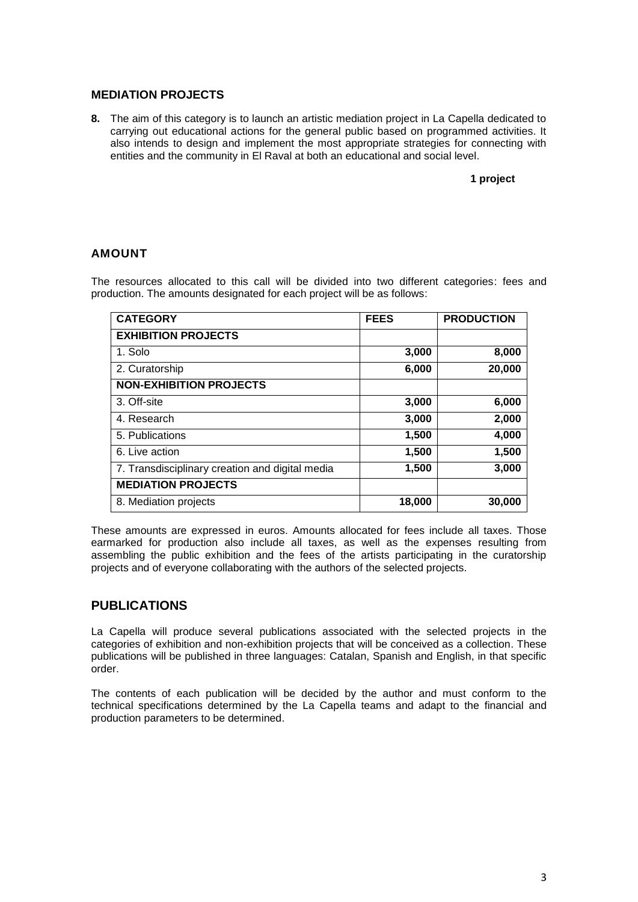### **MEDIATION PROJECTS**

**8.** The aim of this category is to launch an artistic mediation project in La Capella dedicated to carrying out educational actions for the general public based on programmed activities. It also intends to design and implement the most appropriate strategies for connecting with entities and the community in El Raval at both an educational and social level.

#### **1 project**

## **AMOUNT**

The resources allocated to this call will be divided into two different categories: fees and production. The amounts designated for each project will be as follows:

| <b>CATEGORY</b>                                 | <b>FEES</b> | <b>PRODUCTION</b> |
|-------------------------------------------------|-------------|-------------------|
| <b>EXHIBITION PROJECTS</b>                      |             |                   |
| 1. Solo                                         | 3,000       | 8,000             |
| 2. Curatorship                                  | 6,000       | 20,000            |
| <b>NON-EXHIBITION PROJECTS</b>                  |             |                   |
| 3. Off-site                                     | 3,000       | 6,000             |
| 4. Research                                     | 3,000       | 2,000             |
| 5. Publications                                 | 1,500       | 4,000             |
| 6. Live action                                  | 1,500       | 1,500             |
| 7. Transdisciplinary creation and digital media | 1,500       | 3,000             |
| <b>MEDIATION PROJECTS</b>                       |             |                   |
| 8. Mediation projects                           | 18,000      | 30,000            |

These amounts are expressed in euros. Amounts allocated for fees include all taxes. Those earmarked for production also include all taxes, as well as the expenses resulting from assembling the public exhibition and the fees of the artists participating in the curatorship projects and of everyone collaborating with the authors of the selected projects.

## **PUBLICATIONS**

La Capella will produce several publications associated with the selected projects in the categories of exhibition and non-exhibition projects that will be conceived as a collection. These publications will be published in three languages: Catalan, Spanish and English, in that specific order.

The contents of each publication will be decided by the author and must conform to the technical specifications determined by the La Capella teams and adapt to the financial and production parameters to be determined.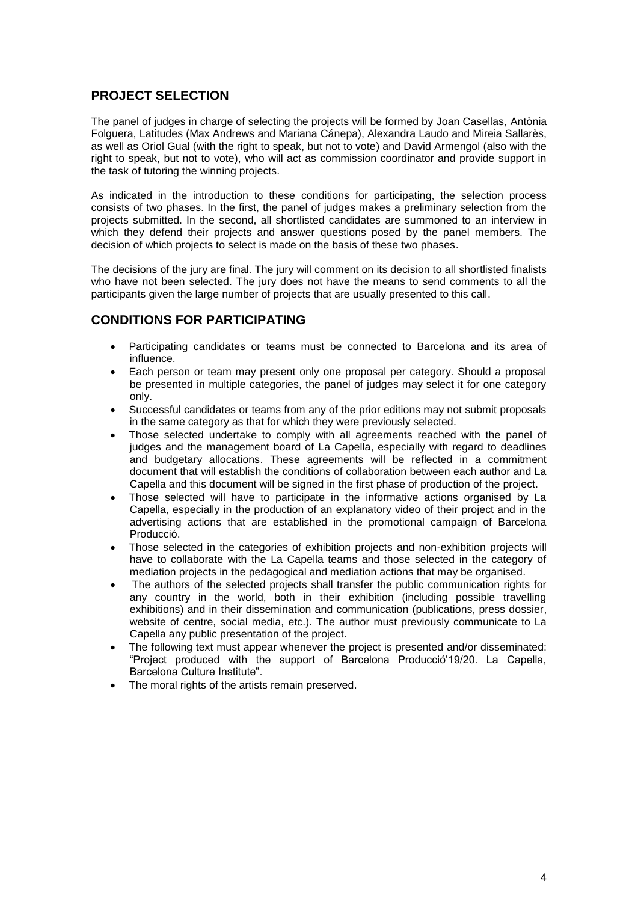# **PROJECT SELECTION**

The panel of judges in charge of selecting the projects will be formed by Joan Casellas, Antònia Folguera, Latitudes (Max Andrews and Mariana Cánepa), Alexandra Laudo and Mireia Sallarès, as well as Oriol Gual (with the right to speak, but not to vote) and David Armengol (also with the right to speak, but not to vote), who will act as commission coordinator and provide support in the task of tutoring the winning projects.

As indicated in the introduction to these conditions for participating, the selection process consists of two phases. In the first, the panel of judges makes a preliminary selection from the projects submitted. In the second, all shortlisted candidates are summoned to an interview in which they defend their projects and answer questions posed by the panel members. The decision of which projects to select is made on the basis of these two phases.

The decisions of the jury are final. The jury will comment on its decision to all shortlisted finalists who have not been selected. The jury does not have the means to send comments to all the participants given the large number of projects that are usually presented to this call.

## **CONDITIONS FOR PARTICIPATING**

- Participating candidates or teams must be connected to Barcelona and its area of influence.
- Each person or team may present only one proposal per category. Should a proposal be presented in multiple categories, the panel of judges may select it for one category only.
- Successful candidates or teams from any of the prior editions may not submit proposals in the same category as that for which they were previously selected.
- Those selected undertake to comply with all agreements reached with the panel of judges and the management board of La Capella, especially with regard to deadlines and budgetary allocations. These agreements will be reflected in a commitment document that will establish the conditions of collaboration between each author and La Capella and this document will be signed in the first phase of production of the project.
- Those selected will have to participate in the informative actions organised by La Capella, especially in the production of an explanatory video of their project and in the advertising actions that are established in the promotional campaign of Barcelona Producció.
- Those selected in the categories of exhibition projects and non-exhibition projects will have to collaborate with the La Capella teams and those selected in the category of mediation projects in the pedagogical and mediation actions that may be organised.
- The authors of the selected projects shall transfer the public communication rights for any country in the world, both in their exhibition (including possible travelling exhibitions) and in their dissemination and communication (publications, press dossier, website of centre, social media, etc.). The author must previously communicate to La Capella any public presentation of the project.
- The following text must appear whenever the project is presented and/or disseminated: "Project produced with the support of Barcelona Producció'19/20. La Capella, Barcelona Culture Institute".
- The moral rights of the artists remain preserved.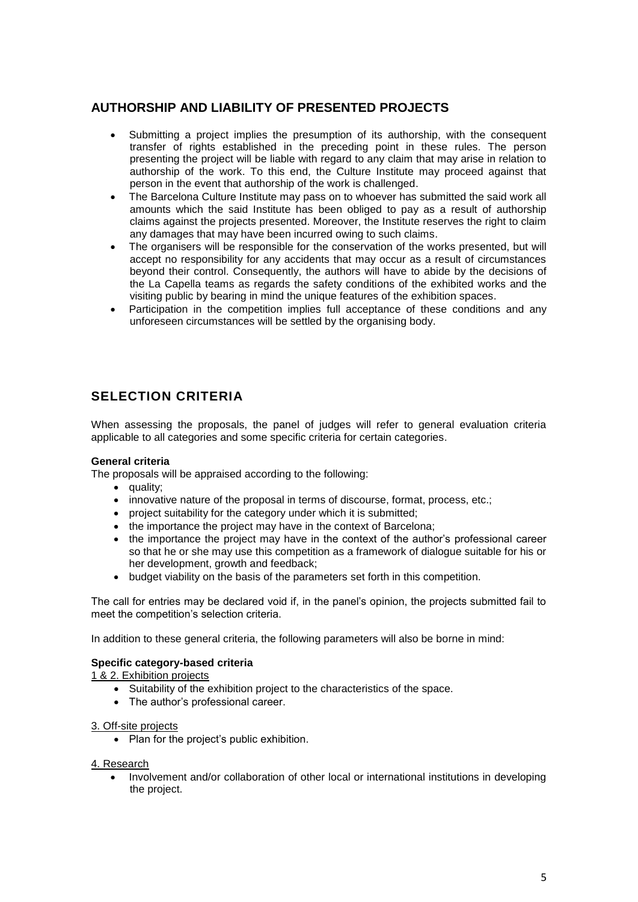# **AUTHORSHIP AND LIABILITY OF PRESENTED PROJECTS**

- Submitting a project implies the presumption of its authorship, with the consequent transfer of rights established in the preceding point in these rules. The person presenting the project will be liable with regard to any claim that may arise in relation to authorship of the work. To this end, the Culture Institute may proceed against that person in the event that authorship of the work is challenged.
- The Barcelona Culture Institute may pass on to whoever has submitted the said work all amounts which the said Institute has been obliged to pay as a result of authorship claims against the projects presented. Moreover, the Institute reserves the right to claim any damages that may have been incurred owing to such claims.
- The organisers will be responsible for the conservation of the works presented, but will accept no responsibility for any accidents that may occur as a result of circumstances beyond their control. Consequently, the authors will have to abide by the decisions of the La Capella teams as regards the safety conditions of the exhibited works and the visiting public by bearing in mind the unique features of the exhibition spaces.
- Participation in the competition implies full acceptance of these conditions and any unforeseen circumstances will be settled by the organising body.

# **SELECTION CRITERIA**

When assessing the proposals, the panel of judges will refer to general evaluation criteria applicable to all categories and some specific criteria for certain categories.

### **General criteria**

The proposals will be appraised according to the following:

- quality;
- innovative nature of the proposal in terms of discourse, format, process, etc.;
- project suitability for the category under which it is submitted;
- the importance the project may have in the context of Barcelona:
- the importance the project may have in the context of the author's professional career so that he or she may use this competition as a framework of dialogue suitable for his or her development, growth and feedback;
- budget viability on the basis of the parameters set forth in this competition.

The call for entries may be declared void if, in the panel's opinion, the projects submitted fail to meet the competition's selection criteria.

In addition to these general criteria, the following parameters will also be borne in mind:

### **Specific category-based criteria**

1 & 2. Exhibition projects

- Suitability of the exhibition project to the characteristics of the space.
- The author's professional career.

#### 3. Off-site projects

• Plan for the project's public exhibition.

#### 4. Research

 Involvement and/or collaboration of other local or international institutions in developing the project.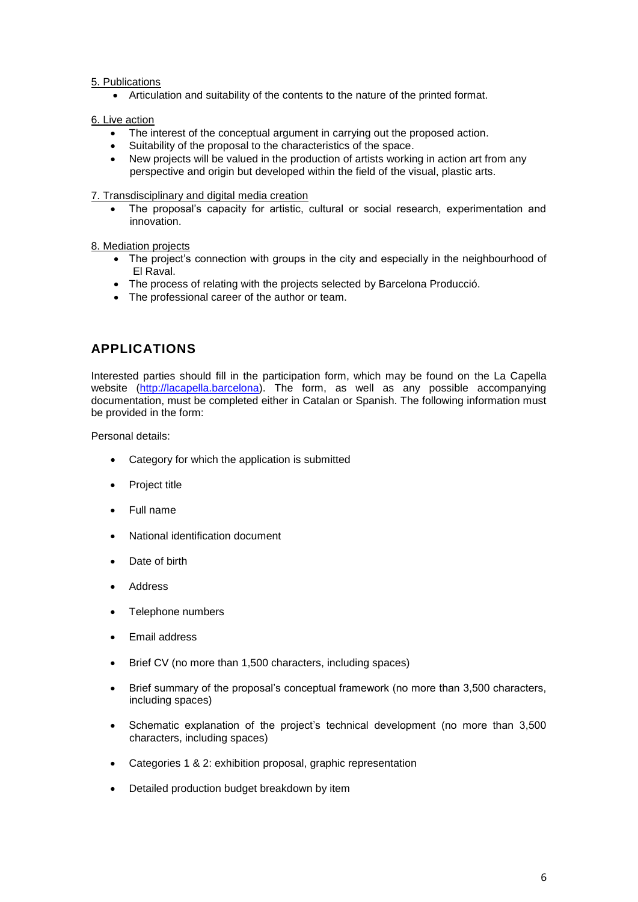### 5. Publications

Articulation and suitability of the contents to the nature of the printed format.

### 6. Live action

- The interest of the conceptual argument in carrying out the proposed action.
- Suitability of the proposal to the characteristics of the space.
- New projects will be valued in the production of artists working in action art from any perspective and origin but developed within the field of the visual, plastic arts.

#### 7. Transdisciplinary and digital media creation

 The proposal's capacity for artistic, cultural or social research, experimentation and innovation.

#### 8. Mediation projects

- The project's connection with groups in the city and especially in the neighbourhood of El Raval.
- The process of relating with the projects selected by Barcelona Producció.
- The professional career of the author or team.

# **APPLICATIONS**

Interested parties should fill in the participation form, which may be found on the La Capella website [\(http://lacapella.barcelona\)](http://www.bcn.cat/lacapella). The form, as well as any possible accompanying documentation, must be completed either in Catalan or Spanish. The following information must be provided in the form:

Personal details:

- Category for which the application is submitted
- Project title
- Full name
- National identification document
- Date of birth
- Address
- Telephone numbers
- Email address
- Brief CV (no more than 1,500 characters, including spaces)
- Brief summary of the proposal's conceptual framework (no more than 3,500 characters, including spaces)
- Schematic explanation of the project's technical development (no more than 3,500 characters, including spaces)
- Categories 1 & 2: exhibition proposal, graphic representation
- Detailed production budget breakdown by item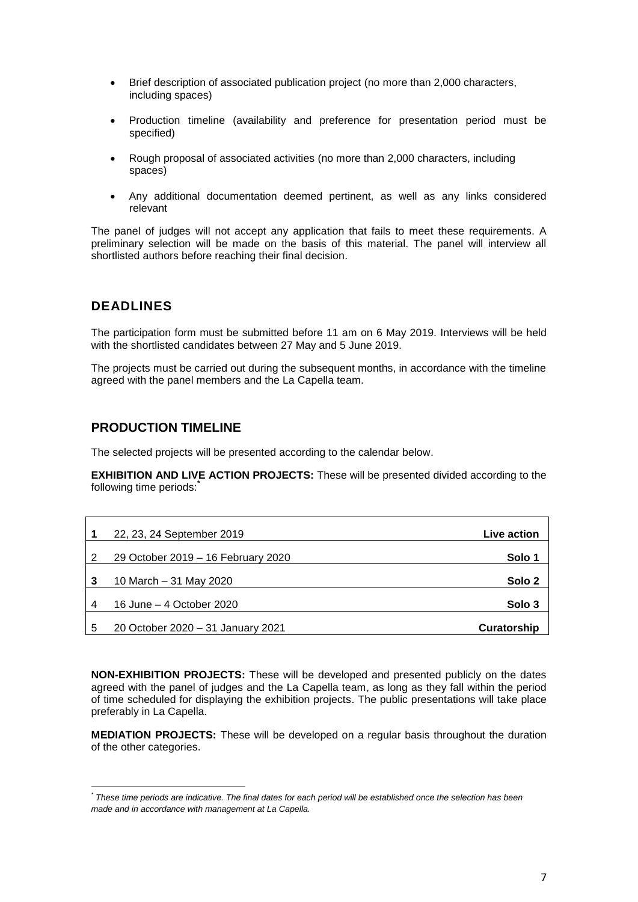- Brief description of associated publication project (no more than 2,000 characters, including spaces)
- Production timeline (availability and preference for presentation period must be specified)
- Rough proposal of associated activities (no more than 2,000 characters, including spaces)
- Any additional documentation deemed pertinent, as well as any links considered relevant

The panel of judges will not accept any application that fails to meet these requirements. A preliminary selection will be made on the basis of this material. The panel will interview all shortlisted authors before reaching their final decision.

## **DEADLINES**

1

The participation form must be submitted before 11 am on 6 May 2019. Interviews will be held with the shortlisted candidates between 27 May and 5 June 2019.

The projects must be carried out during the subsequent months, in accordance with the timeline agreed with the panel members and the La Capella team.

## **PRODUCTION TIMELINE**

The selected projects will be presented according to the calendar below.

**EXHIBITION AND LIVE ACTION PROJECTS:** These will be presented divided according to the following time periods: **\***

|   | 22, 23, 24 September 2019          | Live action        |
|---|------------------------------------|--------------------|
| 2 | 29 October 2019 - 16 February 2020 | Solo 1             |
| 3 | 10 March – 31 May 2020             | Solo 2             |
| 4 | 16 June – 4 October 2020           | Solo 3             |
| 5 | 20 October 2020 - 31 January 2021  | <b>Curatorship</b> |

**NON-EXHIBITION PROJECTS:** These will be developed and presented publicly on the dates agreed with the panel of judges and the La Capella team, as long as they fall within the period of time scheduled for displaying the exhibition projects. The public presentations will take place preferably in La Capella.

**MEDIATION PROJECTS:** These will be developed on a regular basis throughout the duration of the other categories.

*<sup>\*</sup> These time periods are indicative. The final dates for each period will be established once the selection has been made and in accordance with management at La Capella.*